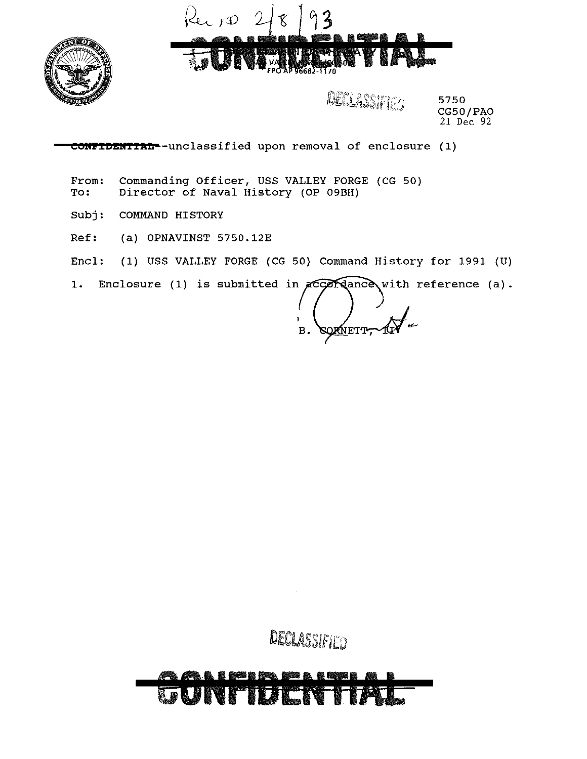



DECLASSIFIED

5750 CG50/PAO 21 Dec 92

**CONFIDENTIAL--unclassified** upon removal of enclosure (1)

From: Commanding Officer, USS VALLEY FORGE (CG 50)<br>To: Director of Naval History (OP 09BH) Director of Naval History (OP 09BH)

Subj: COMMAND HISTORY

Ref: (a) OPNAVINST 5750.12E

Encl: (1) USS VALLEY FORGE (CG 50) Command History for 1991 (U)

 $1.$ Enclosure (1) is submitted in  $\mathcal{H}$ COM ance with reference (a).

∕<br>NETT<del>, ∕</del>1 ì **B.** 

DECLASSIFIED

# NFTDEN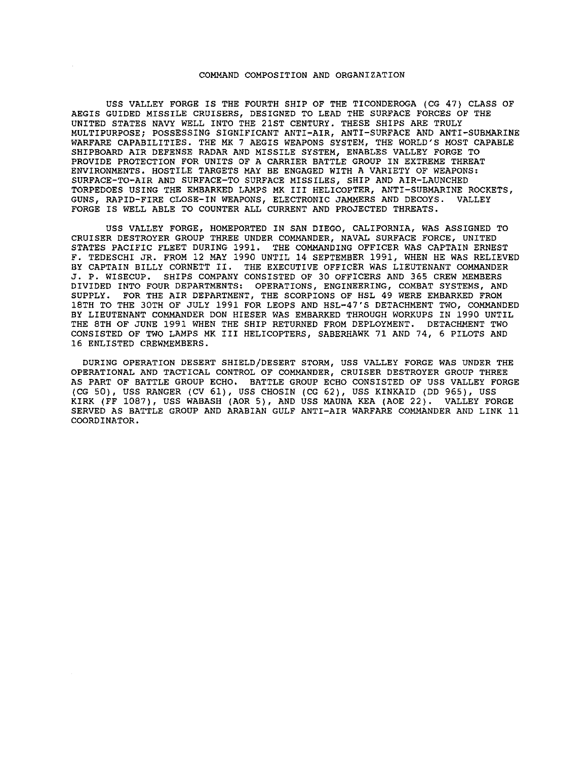#### COMMAND COMPOSITION AND ORGANIZATION

USS VALLEY FORGE IS THE FOURTH SHIP OF THE TICONDEROGA (CG 47) CLASS OF AEGIS GUIDED MISSILE CRUISERS, DESIGNED TO LEAD THE SURFACE FORCES OF THE UNITED STATES NAVY WELL INTO THE 21ST CENTURY. THESE SHIPS ARE TRULY MULTIPURPOSE; POSSESSING SIGNIFICANT ANTI-AIR, ANTI-SURFACE AND ANTI-SUBMARINE WARFARE CAPABILITIES. THE MK 7 AEGIS WEAPONS SYSTEM, THE WORLD'S MOST CAPABLE SHIPBOARD AIR DEFENSE RADAR AND MISSILE SYSTEM, ENABLES VALLEY FORGE TO PROVIDE PROTECTION FOR UNITS OF A CARRIER BATTLE GROUP IN EXTREME THREAT ENVIRONMENTS. HOSTILE TARGETS MAY BE ENGAGED WITH A VARIETY OF WEAPONS: SURFACE-TO-AIR AND SURFACE-TO SURFACE MISSILES, SHIP AND AIR-LAUNCHED TORPEDOES USING THE EMBARKED LAMPS MK III HELICOPTER, ANTI-SUBMARINE ROCKETS, GUNS, RAPID-FIRE CLOSE-IN WEAPONS, ELECTRONIC JAMMERS AND DECOYS. FORGE IS WELL ABLE TO COUNTER ALL CURRENT AND PROJECTED THREATS.

USS VALLEY FORGE, HOMEPORTED IN SAN DIEGO, CALIFORNIA, WAS ASSIGNED TO CRUISER DESTROYER GROUP THREE UNDER COMMANDER, NAVAL SURFACE FORCE, UNITED STATES PACIFIC FLEET DURING 1991. THE COMMANDING OFFICER WAS CAPTAIN ERNEST F. TEDESCHI JR. FROM 12 MAY 1990 UNTIL 14 SEPTEMBER 1991, WHEN HE WAS RELIEVED BY CAPTAIN BILLY CORNETT II. THE EXECUTIVE OFFICER WAS LIEUTENANT COMMANDER J. P. WISECUP. SHIPS COMPANY CONSISTED OF 30 OFFICERS AND 365 CREW MEMBERS DIVIDED INTO FOUR DEPARTMENTS: OPERATIONS, ENGINEERING, COMBAT SYSTEMS, AND SUPPLY. FOR THE AIR DEPARTMENT, THE SCORPIONS OF HSL 49 WERE EMBARKED FROM 18TH TO THE 30TH OF JULY 1991 FOR LEOPS AND HSL-47'S DETACHMENT TWO, COMMANDED BY LIEUTENANT COMMANDER DON HIESER WAS EMBARKED THROUGH WORKUPS IN 1990 UNTIL THE BTH OF JUNE 1991 WHEN THE SHIP RETURNED FROM DEPLOYMENT. DETACHMENT TWO CONSISTED OF TWO LAMPS MK III HELICOPTERS, SABERHAWK 71 AND 74, 6 PILOTS AND 16 ENLISTED CREWMEMBERS.

DURING OPERATION DESERT SHIELD/DESERT STORM, USS VALLEY FORGE WAS UNDER THE OPERATIONAL AND TACTICAL CONTROL OF COMMANDER, CRUISER DESTROYER GROUP THREE AS PART OF BATTLE GROUP ECHO. BATTLE GROUP ECHO CONSISTED OF USS VALLEY FORGE (CG 50), USS RANGER (CV 61), USS CHOSIN (CG 62), USS KINKAID (DD 965), USS KIRK (FF 1087), USS WABASH (AOR 5), AND USS MAUNA KEA (AOE 22). VALLEY FORGE SERVED AS BATTLE GROUP AND ARABIAN GULF ANTI-AIR WARFARE COMMANDER AND LINK 11 COORDINATOR.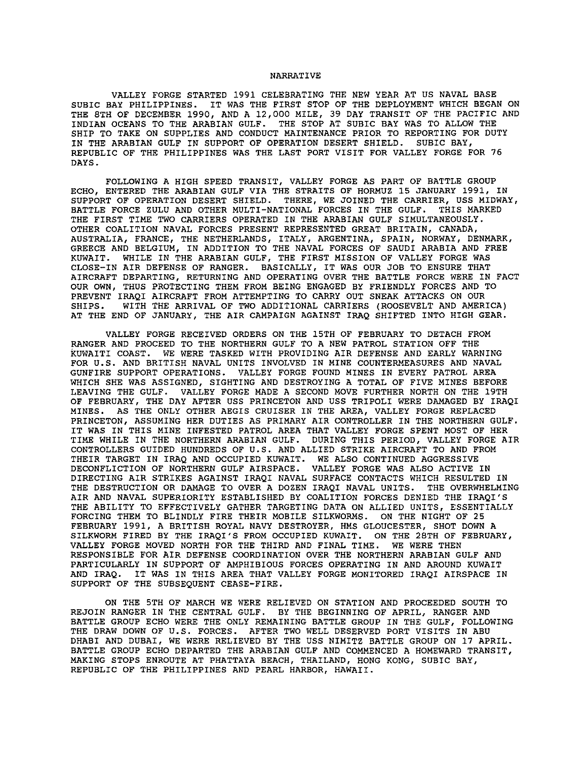### NARRATIVE

VALLEY FORGE STARTED 1991 CELEBRATING THE NEW YEAR AT US NAVAL BASE SUBIC BAY PHILIPPINES. IT WAS THE FIRST STOP OF THE DEPLOYMENT WHICH BEGAN ON THE STH OF DECEMBER 1990, AND A 12,000 MILE, 39 DAY TRANSIT OF THE PACIFIC AND INDIAN OCEANS TO THE ARABIAN GULF. THE STOP AT SUBIC BAY WAS TO ALLOW THE SHIP TO TAKE ON SUPPLIES AND CONDUCT MAINTENANCE PRIOR TO REPORTING FOR DUTY IN THE ARABIAN GULF IN SUPPORT OF OPERATION DESERT SHIELD. SUBIC BAY, REPUBLIC OF THE PHILIPPINES WAS THE LAST PORT VISIT FOR VALLEY FORGE FOR 76 DAYS.

FOLLOWING A HIGH SPEED TRANSIT, VALLEY FORGE AS PART OF BATTLE GROUP ECHO, ENTERED THE ARABIAN GULF VIA THE STRAITS OF HORMUZ 15 JANUARY 1991, IN SUPPORT OF OPERATION DESERT SHIELD. THERE, WE JOINED THE CARRIER, USS MIDWAY, BATTLE FORCE ZULU AND OTHER MULTI-NATIONAL FORCES IN THE GULF. THIS MARKED THE FIRST TIME TWO CARRIERS OPERATED IN THE ARABIAN GULF SIMULTANEOUSLY. OTHER COALITION NAVAL FORCES PRESENT REPRESENTED GREAT BRITAIN, CANADA, AUSTRALIA, FRANCE, THE NETHERLANDS, ITALY, ARGENTINA, SPAIN, NORWAY, DENMARK, GREECE AND BELGIUM, IN ADDITION TO THE NAVAL FORCES OF SAUDI ARABIA AND FREE KUWAIT. WHILE IN THE ARABIAN GULF, THE FIRST MISSION OF VALLEY FORGE WAS CLOSE-IN AIR DEFENSE OF RANGER. BASICALLY, IT WAS OUR JOB TO ENSURE THAT AIRCRAFT DEPARTING, RETURNING AND OPERATING OVER THE BATTLE FORCE WERE IN FACT OUR OWN, THUS PROTECTING THEM FROM BEING ENGAGED BY FRIENDLY FORCES AND TO PREVENT IRAQI AIRCRAFT FROM ATTEMPTING TO CARRY OUT SNEAK ATTACKS ON OUR SHIPS. WITH THE ARRIVAL OF TWO ADDITIONAL CARRIERS (ROOSEVELT AND AMER) WITH THE ARRIVAL OF TWO ADDITIONAL CARRIERS (ROOSEVELT AND AMERICA) AT THE END OF JANUARY, THE AIR CAMPAIGN AGAINST IRAO SHIFTED INTO HIGH GEAR.

VALLEY FORGE RECEIVED ORDERS ON THE 15TH OF FEBRUARY TO DETACH FROM RANGER AND PROCEED TO THE NORTHERN GULF TO A NEW PATROL STATION OFF THE KUWAITI COAST. WE WERE TASKED WITH PROVIDING AIR DEFENSE AND EARLY WARNING FOR U.S. AND BRITISH NAVAL UNITS INVOLVED IN MINE COUNTERMEASURES AND NAVAL GUNFIRE SUPPORT OPERATIONS. VALLEY FORGE FOUND MINES IN EVERY PATROL AREA WHICH SHE WAS ASSIGNED, SIGHTING AND DESTROYING A TOTAL OF FIVE MINES BEFORE LEAVING THE GULF. VALLEY FORGE MADE A SECOND MOVE FURTHER NORTH ON THE 19TH OF FEBRUARY, THE DAY AFTER USS PRINCETON AND USS TRIPOLI WERE DAMAGED BY IRAQI MINES. AS THE ONLY OTHER AEGIS CRUISER IN THE AREA, VALLEY FORGE REPLACED PRINCETON, ASSUMING HER DUTIES AS PRIMARY AIR CONTROLLER IN THE NORTHERN GULF. IT WAS IN THIS MINE INFESTED PATROL AREA THAT VALLEY FORGE SPENT MOST OF HER TIME WHILE IN THE NORTHERN ARABIAN GULF. DURING THIS PERIOD, VALLEY FORGE AIR CONTROLLERS GUIDED HUNDREDS OF U.S. AND ALLIED STRIKE AIRCRAFT TO AND FROM THEIR TARGET IN IRAQ AND OCCUPIED KUWAIT. WE ALSO CONTINUED AGGRESSIVE DECONFLICTION OF NORTHERN GULF AIRSPACE. VALLEY FORGE WAS ALSO ACTIVE IN DIRECTING AIR STRIKES AGAINST IRAQI NAVAL SURFACE CONTACTS WHICH RESULTED IN THE DESTRUCTION OR DAMAGE TO OVER A DOZEN IRAQI NAVAL UNITS. THE OVERWHELMING AIR AND NAVAL SUPERIORITY ESTABLISHED BY COALITION FORCES DENIED THE IRAQI'S THE ABILITY TO EFFECTIVELY GATHER TARGETING DATA ON ALLIED UNITS, ESSENTIALLY FORCING THEM TO BLINDLY FIRE THEIR MOBILE SILKWORMS. ON THE NIGHT OF 25 FEBRUARY 1991, A BRITISH ROYAL NAVY DESTROYER, HMS GLOUCESTER, SHOT DOWN A SILKWORM FIRED BY THE IRAQI'S FROM OCCUPIED KUWAIT. ON THE 28TH OF FEBRUARY, VALLEY FORGE MOVED NORTH FOR THE THIRD AND FINAL TIME. WE WERE THEN RESPONSIBLE FOR AIR DEFENSE COORDINATION OVER THE NORTHERN ARABIAN GULF AND PARTICULARLY IN SUPPORT OF AMPHIBIOUS FORCES OPERATING IN AND AROUND KUWAIT AND IRAQ. IT WAS IN THIS AREA THAT VALLEY FORGE MONITORED IRAQI AIRSPACE IN SUPPORT OF THE SUBSEQUENT CEASE-FIRE.

ON THE 5TH OF MARCH WE WERE RELIEVED ON STATION AND PROCEEDED SOUTH TO REJOIN RANGER IN THE CENTRAL GULF. BY THE BEGINNING OF APRIL, RANGER AND BATTLE GROUP ECHO WERE THE ONLY REMAINING BATTLE GROUP IN THE GULF, FOLLOWING THE DRAW DOWN OF U.S. FORCES. AFTER TWO WELL DESERVED PORT VISITS IN ABU DHABI AND DUBAI, WE WERE RELIEVED BY THE USS NIMITZ BATTLE GROUP ON 17 APRIL. BATTLE GROUP ECHO DEPARTED THE ARABIAN GULF AND COMMENCED A HOMEWARD TRANSIT, MAKING STOPS ENROUTE AT PHATTAYA BEACH, THAILAND, HONG KONG, SUBIC BAY, REPUBLIC OF THE PHILIPPINES AND PEARL HARBOR, HAWAII.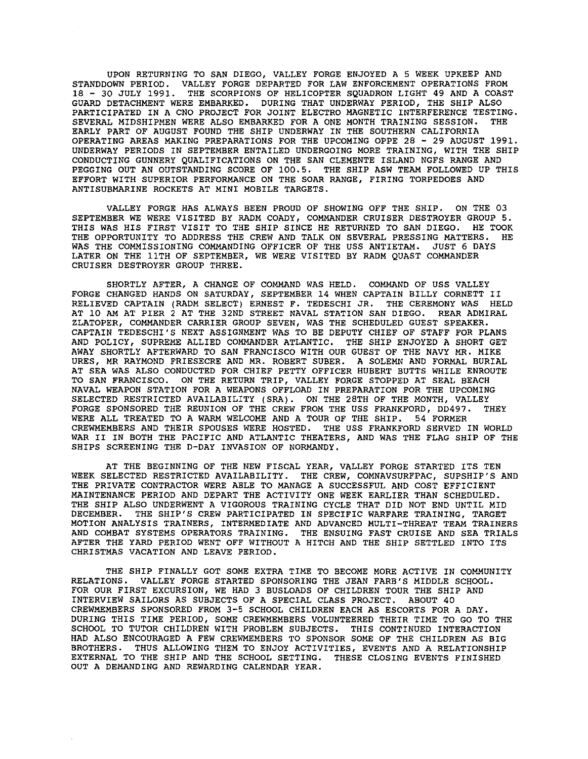UPON RETURNING TO SAN DIEGO, VALLEY FORGE ENJOYED A 5 WEEK UPKEEP AND STANDDOWN PERIOD. VALLEY FORGE DEPARTED FOR LAW ENFORCEMENT OPERATIONS FROM 18 - 30 JULY 1991. THE SCORPIONS OF HELICOPTER SQUADRON LIGHT 49 AND A COAST GUARD DETACHMENT WERE EMBARKED. DURING THAT UNDERWAY PERIOD, THE SHIP ALSO PARTICIPATED IN A CNO PROJECT FOR JOINT ELECTRO MAGNETIC INTERFERENCE TESTING. SEVERAL MIDSHIPMEN WERE ALSO EMBARKED FOR A ONE MONTH TRAINING SESSION. THE EARLY PART OF AUGUST FOUND THE SHIP UNDERWAY IN THE SOUTHERN CALIFORNIA OPERATING AREAS MAKING PREPARATIONS FOR THE UPCOMING OPPE 28 - 29 AUGUST 1991. UNDERWAY PERIODS IN SEPTEMBER ENTAILED UNDERGOING MORE TRAINING, WITH THE SHIP CONDUCTING GUNNERY QUALIFICATIONS ON THE SAN CLEMENTE ISLAND NGFS RANGE AND PEGGING OUT AN OUTSTANDING SCORE OF 100.5. THE SHIP ASW TEAM FOLLOWED UP THIS EFFORT WITH SUPERIOR PERFORMANCE ON THE SOAR RANGE, FIRING TORPEDOES AND ANTISUBMARINE ROCKETS AT MINI MOBILE TARGETS.

VALLEY FORGE HAS ALWAYS BEEN PROUD OF SHOWING OFF THE SHIP. ON THE 03 SEPTEMBER WE WERE VISITED BY RADM COADY, COMMANDER CRUISER DESTROYER GROUP 5. THIS WAS HIS FIRST VISIT TO THE SHIP SINCE HE RETURNED TO SAN DIEGO. HE TOOK THE OPPORTUNITY TO ADDRESS THE CREW AND TALK ON SEVERAL PRESSING MATTERS. HE WAS THE COMMISSIONING COMMANDING OFFICER OF THE USS ANTIETAM. JUST 6 DAYS LATER ON THE llTH OF SEPTEMBER, WE WERE VISITED BY RADM QUAST COMMANDER CRUISER DESTROYER GROUP THREE.

SHORTLY AFTER, A CHANGE OF COMMAND WAS HELD. COMMAND OF USS VALLEY FORGE CHANGED HANDS ON SATURDAY, SEPTEMBER 14 WHEN CAPTAIN BILLY CORNETT II RELIEVED CAPTAIN (RADM SELECT) ERNEST F. TEDESCHI JR. THE CEREMONY WAS HELD AT 10 AM AT PIER 2 AT THE 32ND STREET NAVAL STATION SAN DIEGO. REAR ADMIRAL ZLATOPER, COMMANDER CARRIER GROUP SEVEN, WAS THE SCHEDULED GUEST SPEAKER. CAPTAIN TEDESCHI'S NEXT ASSIGNMENT WAS TO BE DEPUTY CHIEF OF STAFF FOR PLANS AND POLICY, SUPREME ALLIED COMMANDER ATLANTIC. THE SHIP ENJOYED A SHORT GET AWAY SHORTLY AFTERWARD TO SAN FRANCISCO WITH OUR GUEST OF THE NAVY MR. MIKE URES, MR RAYMOND FRIESECRE AND MR. ROBERT SUBER. A SOLEMN AND FORMAL BURIAL AT SEA WAS ALSO CONDUCTED FOR CHIEF PETTY OFFICER HUBERT BUTTS WHILE ENROUTE TO SAN FRANCISCO. ON THE RETURN TRIP, VALLEY FORGE STOPPED AT SEAL BEACH NAVAL WEAPON STATION FOR A WEAPONS OFFLOAD IN PREPARATION FOR THE UPCOMING SELECTED RESTRICTED AVAILABILITY (SRA). ON THE 28TH OF THE MONTH, VALLEY FORGE SPONSORED THE REUNION OF THE CREW FROM THE USS FRANKFORD, DD497. THEY WERE ALL TREATED TO A WARM WELCOME AND A TOUR OF THE SHIP. 54 FORMER CREWMEMBERS AND THEIR SPOUSES WERE HOSTED. THE USS FRANKFORD SERVED IN WORLD WAR II IN BOTH THE PACIFIC AND ATLANTIC THEATERS, AND WAS THE FLAG SHIP OF THE SHIPS SCREENING THE D-DAY INVASION OF NORMANDY.

AT THE BEGINNING OF THE NEW FISCAL YEAR, VALLEY FORGE STARTED ITS TEN WEEK SELECTED RESTRICTED AVAILABILITY. THE CREW, COMNAVSURFPAC, SUPSHIP'S AND THE PRIVATE CONTRACTOR WERE ABLE TO MANAGE A SUCCESSFUL AND COST EFFICIENT MAINTENANCE PERIOD AND DEPART THE ACTIVITY ONE WEEK EARLIER THAN SCHEDULED. THE SHIP ALSO UNDERWENT A VIGOROUS TRAINING CYCLE THAT DID NOT END UNTIL MID DECEMBER. THE SHIP'S CREW PARTICIPATED IN SPECIFIC WARFARE TRAINING, TARGET MOTION ANALYSIS TRAINERS, INTERMEDIATE AND ADVANCED MULTI-THREAT TEAM TRAINERS AND COMBAT SYSTEMS OPERATORS TRAINING. THE ENSUING FAST CRUISE AND SEA TRIALS AFTER THE YARD PERIOD WENT OFF WITHOUT A HITCH AND THE SHIP SETTLED INTO ITS CHRISTMAS VACATION AND LEAVE PERIOD.

THE SHIP FINALLY GOT SOME EXTRA TIME TO BECOME MORE ACTIVE IN COMMUNITY RELATIONS. VALLEY FORGE STARTED SPONSORING THE JEAN FARB'S MIDDLE SCHOOL. FOR OUR FIRST EXCURSION, WE HAD 3 BUSLOADS OF CHILDREN TOUR THE SHIP AND INTERVIEW SAILORS AS SUBJECTS OF A SPECIAL CLASS PROJECT. ABOUT 40 CREWMEMBERS SPONSORED FROM 3-5 SCHOOL CHILDREN EACH AS ESCORTS FOR A DAY. DURING THIS TIME PERIOD, SOME CREWMEMBERS VOLUNTEERED THEIR TIME TO GO TO THE SCHOOL TO TUTOR CHILDREN WITH PROBLEM SUBJECTS. THIS CONTINUED INTERACTION HAD ALSO ENCOURAGED A FEW CREWMEMBERS TO SPONSOR SOME OF THE CHILDREN AS BIG BROTHERS. THUS ALLOWING THEM TO ENJOY ACTIVITIES, EVENTS AND A RELATIONSHIP EXTERNAL TO THE SHIP AND THE SCHOOL SETTING. THESE CLOSING EVENTS FINISHED OUT A DEMANDING AND REWARDING CALENDAR YEAR.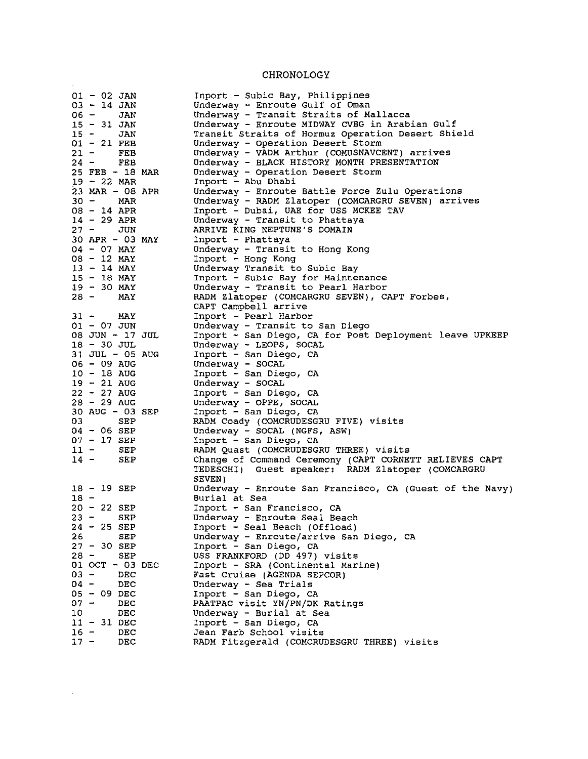## CHRONOLOGY

 $\mathcal{L}(\mathbf{z})$  .

 $\mathcal{L}_{\text{max}}$  .

| $01 - 02$ JAN        | Inport - Subic Bay, Philippines                          |
|----------------------|----------------------------------------------------------|
| $03 - 14$ JAN        | Underway - Enroute Gulf of Oman                          |
| 06 —<br>JAN          | Underway - Transit Straits of Mallacca                   |
| $15 - 31$ JAN        | Underway - Enroute MIDWAY CVBG in Arabian Gulf           |
| $15 -$<br>JAN        | Transit Straits of Hormuz Operation Desert Shield        |
| $01 - 21$ FEB        | Underway - Operation Desert Storm                        |
| $21 -$<br>FEB        | Underway - VADM Arthur (COMUSNAVCENT) arrives            |
| 24 -<br>FEB          | Underway - BLACK HISTORY MONTH PRESENTATION              |
| $25$ FEB $-18$ MAR   | Underway - Operation Desert Storm                        |
| $19 - 22$ MAR        | Inport - Abu Dhabi                                       |
| 23 MAR $-$ 08 APR    | Underway - Enroute Battle Force Zulu Operations          |
| $30 -$               | Underway - RADM Zlatoper (COMCARGRU SEVEN) arrives       |
| MAR<br>$08 - 14$ APR |                                                          |
|                      | Inport - Dubai, UAE for USS MCKEE TAV                    |
| $14 - 29$ APR        | Underway - Transit to Phattaya                           |
| $27 -$<br>JUN        | ARRIVE KING NEPTUNE'S DOMAIN                             |
| 30 APR - 03 MAY      | Inport - Phattaya                                        |
| $04 - 07$ MAY        | Underway - Transit to Hong Kong                          |
| 08 - 12 MAY          | Inport - Hong Kong                                       |
| $13 - 14$ MAY        | Underway Transit to Subic Bay                            |
| 15 - 18 MAY          | Inport - Subic Bay for Maintenance                       |
| $19 - 30$ MAY        | Underway - Transit to Pearl Harbor                       |
| 28 –<br>MAY          | RADM Zlatoper (COMCARGRU SEVEN), CAPT Forbes,            |
|                      | CAPT Campbell arrive                                     |
| $31 - MAY$           | Inport - Pearl Harbor                                    |
| $01 - 07$ JUN        | Underway - Transit to San Diego                          |
| 08 JUN - 17 JUL      | Inport - San Diego, CA for Post Deployment leave UPKEEP  |
| $18 - 30$ JUL        | Underway - LEOPS, SOCAL                                  |
| $31$ JUL $-$ 05 AUG  | Inport - San Diego, CA                                   |
| $06 - 09$ AUG        | Underway - SOCAL                                         |
| $10 - 18$ AUG        | Inport - San Diego, CA                                   |
| $19 - 21$ AUG        | Underway - SOCAL                                         |
| $22 - 27$ AUG        | Inport - San Diego, CA                                   |
| $28 - 29$ AUG        | Underway - OPPE, SOCAL                                   |
| $30$ AUG - 03 SEP    | Inport - San Diego, CA                                   |
| 03.<br>SEP           | RADM Coady (COMCRUDESGRU FIVE) visits                    |
| 04 - 06 SEP          | Underway - SOCAL (NGFS, ASW)                             |
| $07 - 17$ SEP        | Inport - San Diego, CA                                   |
| $11 -$<br>SEP        |                                                          |
|                      | RADM Quast (COMCRUDESGRU THREE) visits                   |
| $14 -$<br>SEP        | Change of Command Ceremony (CAPT CORNETT RELIEVES CAPT   |
|                      | TEDESCHI) Guest speaker: RADM Zlatoper (COMCARGRU        |
|                      | SEVEN)                                                   |
| $18 - 19$ SEP        | Underway - Enroute San Francisco, CA (Guest of the Navy) |
| $18 -$               | Burial at Sea                                            |
| $20 - 22$ SEP        | Inport - San Francisco, CA                               |
| $23 -$<br><b>SEP</b> | Underway - Enroute Seal Beach                            |
| $24 - 25$ SEP        | Inport - Seal Beach (Offload)                            |
| 26<br>SEP            | Underway - Enroute/arrive San Diego, CA                  |
| $27 - 30$ SEP        | Inport - San Diego, CA                                   |
| 28 -<br>SEP          | USS FRANKFORD (DD 497) visits                            |
| 01 OCT - 03 DEC      | Inport - SRA (Continental Marine)                        |
| $03 -$<br>DEC        | Fast Cruise (AGENDA SEPCOR)                              |
| 04 -<br>DEC          | Underway - Sea Trials                                    |
| $05 - 09$ DEC        | Inport - San Diego, CA                                   |
| 07 -<br>DEC          | PAATPAC visit YN/PN/DK Ratings                           |
| 10<br>DEC            | Underway - Burial at Sea                                 |
| $11 - 31$ DEC        | Inport - San Diego, CA                                   |
| $16 -$<br>DEC        | Jean Farb School visits                                  |
| $17 -$<br>DEC        | RADM Fitzgerald (COMCRUDESGRU THREE) visits              |
|                      |                                                          |